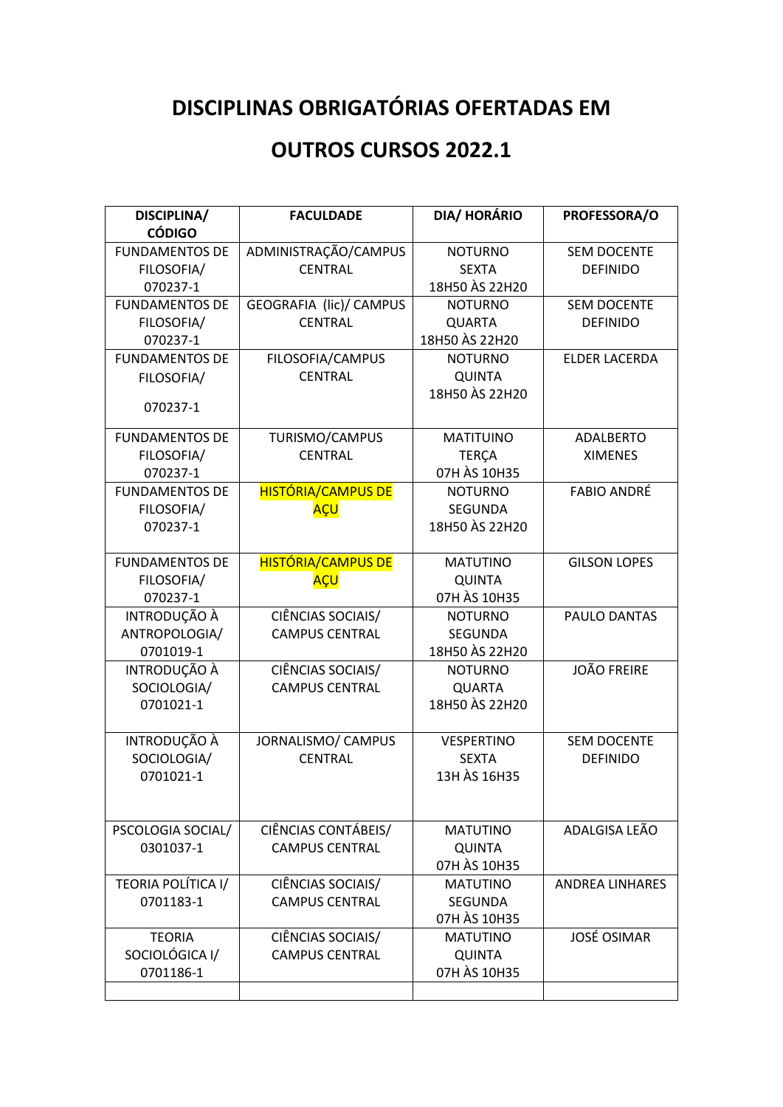## **DISCIPLINAS OBRIGATÓRIAS OFERTADAS EM**

## **OUTROS CURSOS 2022.1**

| DISCIPLINA/           | <b>FACULDADE</b>          | <b>DIA/HORÁRIO</b> | PROFESSORA/O           |
|-----------------------|---------------------------|--------------------|------------------------|
| <b>CÓDIGO</b>         |                           |                    |                        |
| <b>FUNDAMENTOS DE</b> | ADMINISTRAÇÃO/CAMPUS      | <b>NOTURNO</b>     | <b>SEM DOCENTE</b>     |
| FILOSOFIA/            | <b>CENTRAL</b>            | <b>SEXTA</b>       | <b>DEFINIDO</b>        |
| 070237-1              |                           | 18H50 ÀS 22H20     |                        |
| <b>FUNDAMENTOS DE</b> | GEOGRAFIA (lic)/ CAMPUS   | <b>NOTURNO</b>     | <b>SEM DOCENTE</b>     |
| FILOSOFIA/            | <b>CENTRAL</b>            | <b>QUARTA</b>      | <b>DEFINIDO</b>        |
| 070237-1              |                           | 18H50 ÀS 22H20     |                        |
| <b>FUNDAMENTOS DE</b> | FILOSOFIA/CAMPUS          | <b>NOTURNO</b>     | <b>ELDER LACERDA</b>   |
| FILOSOFIA/            | CENTRAL                   | <b>QUINTA</b>      |                        |
|                       |                           | 18H50 ÀS 22H20     |                        |
| 070237-1              |                           |                    |                        |
| <b>FUNDAMENTOS DE</b> | TURISMO/CAMPUS            | <b>MATITUINO</b>   | <b>ADALBERTO</b>       |
| FILOSOFIA/            | <b>CENTRAL</b>            | <b>TERÇA</b>       | <b>XIMENES</b>         |
| 070237-1              |                           | 07H ÀS 10H35       |                        |
| <b>FUNDAMENTOS DE</b> | <b>HISTÓRIA/CAMPUS DE</b> | <b>NOTURNO</b>     | <b>FABIO ANDRÉ</b>     |
| FILOSOFIA/            | AÇU                       | <b>SEGUNDA</b>     |                        |
| 070237-1              |                           | 18H50 ÀS 22H20     |                        |
|                       |                           |                    |                        |
| <b>FUNDAMENTOS DE</b> | <b>HISTÓRIA/CAMPUS DE</b> | <b>MATUTINO</b>    | <b>GILSON LOPES</b>    |
| FILOSOFIA/            | AÇU                       | <b>QUINTA</b>      |                        |
| 070237-1              |                           | 07H ÀS 10H35       |                        |
| INTRODUÇÃO À          | CIÊNCIAS SOCIAIS/         | <b>NOTURNO</b>     | PAULO DANTAS           |
| ANTROPOLOGIA/         | <b>CAMPUS CENTRAL</b>     | <b>SEGUNDA</b>     |                        |
| 0701019-1             |                           | 18H50 ÀS 22H20     |                        |
| INTRODUÇÃO À          | CIÊNCIAS SOCIAIS/         | <b>NOTURNO</b>     | <b>JOÃO FREIRE</b>     |
| SOCIOLOGIA/           | <b>CAMPUS CENTRAL</b>     | <b>QUARTA</b>      |                        |
| 0701021-1             |                           | 18H50 ÀS 22H20     |                        |
|                       |                           |                    |                        |
| INTRODUÇÃO À          | JORNALISMO/ CAMPUS        | <b>VESPERTINO</b>  | <b>SEM DOCENTE</b>     |
| SOCIOLOGIA/           | <b>CENTRAL</b>            | <b>SEXTA</b>       | <b>DEFINIDO</b>        |
| 0701021-1             |                           | 13H ÀS 16H35       |                        |
|                       |                           |                    |                        |
|                       |                           |                    |                        |
| PSCOLOGIA SOCIAL/     | CIÊNCIAS CONTÁBEIS/       | <b>MATUTINO</b>    | ADALGISA LEÃO          |
| 0301037-1             | <b>CAMPUS CENTRAL</b>     | <b>QUINTA</b>      |                        |
|                       |                           | 07H ÀS 10H35       |                        |
| TEORIA POLÍTICA I/    | CIÊNCIAS SOCIAIS/         | <b>MATUTINO</b>    | <b>ANDREA LINHARES</b> |
| 0701183-1             | <b>CAMPUS CENTRAL</b>     | <b>SEGUNDA</b>     |                        |
|                       |                           | 07H ÀS 10H35       |                        |
| <b>TEORIA</b>         | CIÊNCIAS SOCIAIS/         | <b>MATUTINO</b>    | <b>JOSÉ OSIMAR</b>     |
| SOCIOLÓGICA I/        | <b>CAMPUS CENTRAL</b>     | <b>QUINTA</b>      |                        |
| 0701186-1             |                           | 07H ÀS 10H35       |                        |
|                       |                           |                    |                        |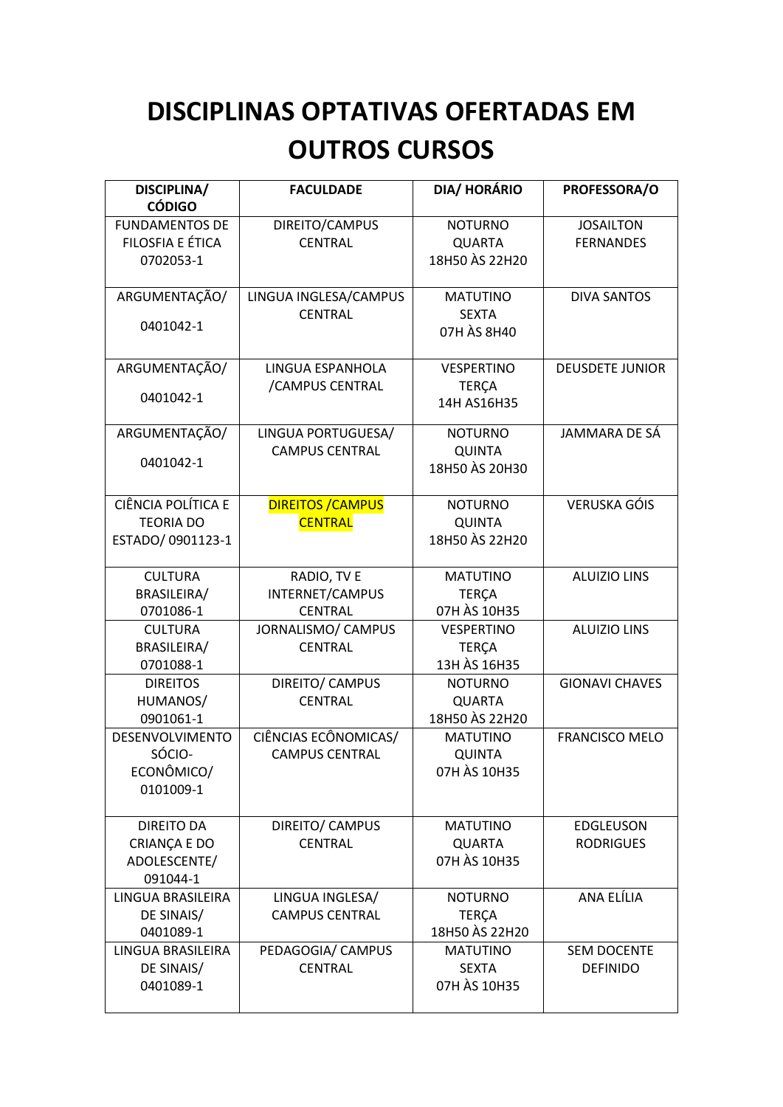## **DISCIPLINAS OPTATIVAS OFERTADAS EM OUTROS CURSOS**

| DISCIPLINA/               | <b>FACULDADE</b>         | <b>DIA/HORÁRIO</b> | PROFESSORA/O           |
|---------------------------|--------------------------|--------------------|------------------------|
| <b>CÓDIGO</b>             |                          |                    |                        |
| <b>FUNDAMENTOS DE</b>     | DIREITO/CAMPUS           | <b>NOTURNO</b>     | <b>JOSAILTON</b>       |
| FILOSFIA E ÉTICA          | <b>CENTRAL</b>           | <b>QUARTA</b>      | <b>FERNANDES</b>       |
| 0702053-1                 |                          | 18H50 ÀS 22H20     |                        |
|                           |                          |                    |                        |
| ARGUMENTAÇÃO/             | LINGUA INGLESA/CAMPUS    | <b>MATUTINO</b>    | <b>DIVA SANTOS</b>     |
|                           | <b>CENTRAL</b>           | <b>SEXTA</b>       |                        |
| 0401042-1                 |                          | 07H ÀS 8H40        |                        |
|                           |                          |                    |                        |
| ARGUMENTAÇÃO/             | LINGUA ESPANHOLA         | <b>VESPERTINO</b>  | <b>DEUSDETE JUNIOR</b> |
|                           | /CAMPUS CENTRAL          | <b>TERÇA</b>       |                        |
| 0401042-1                 |                          | 14H AS16H35        |                        |
| ARGUMENTAÇÃO/             | LINGUA PORTUGUESA/       | <b>NOTURNO</b>     | JAMMARA DE SÁ          |
|                           | <b>CAMPUS CENTRAL</b>    | <b>QUINTA</b>      |                        |
| 0401042-1                 |                          | 18H50 AS 20H30     |                        |
|                           |                          |                    |                        |
| <b>CIÊNCIA POLÍTICA E</b> | <b>DIREITOS / CAMPUS</b> | <b>NOTURNO</b>     | <b>VERUSKA GÓIS</b>    |
| <b>TEORIA DO</b>          | <b>CENTRAL</b>           | <b>QUINTA</b>      |                        |
| ESTADO/ 0901123-1         |                          | 18H50 ÀS 22H20     |                        |
|                           |                          |                    |                        |
| <b>CULTURA</b>            | RADIO, TV E              | <b>MATUTINO</b>    | <b>ALUIZIO LINS</b>    |
| BRASILEIRA/               | INTERNET/CAMPUS          | <b>TERÇA</b>       |                        |
| 0701086-1                 | <b>CENTRAL</b>           | 07H ÀS 10H35       |                        |
| <b>CULTURA</b>            | JORNALISMO/ CAMPUS       | <b>VESPERTINO</b>  | <b>ALUIZIO LINS</b>    |
| BRASILEIRA/               | <b>CENTRAL</b>           | <b>TERÇA</b>       |                        |
| 0701088-1                 |                          | 13H ÀS 16H35       |                        |
| <b>DIREITOS</b>           | DIREITO/ CAMPUS          | <b>NOTURNO</b>     | <b>GIONAVI CHAVES</b>  |
| HUMANOS/                  | <b>CENTRAL</b>           | <b>QUARTA</b>      |                        |
| 0901061-1                 |                          | 18H50 ÀS 22H20     |                        |
| DESENVOLVIMENTO           | CIÊNCIAS ECÔNOMICAS/     | <b>MATUTINO</b>    | <b>FRANCISCO MELO</b>  |
| SÓCIO-                    | <b>CAMPUS CENTRAL</b>    | <b>QUINTA</b>      |                        |
| ECONÔMICO/                |                          | 07H ÀS 10H35       |                        |
| 0101009-1                 |                          |                    |                        |
|                           |                          |                    |                        |
| <b>DIREITO DA</b>         | DIREITO/ CAMPUS          | <b>MATUTINO</b>    | <b>EDGLEUSON</b>       |
| CRIANÇA E DO              | <b>CENTRAL</b>           | <b>QUARTA</b>      | <b>RODRIGUES</b>       |
| ADOLESCENTE/              |                          | 07H ÀS 10H35       |                        |
| 091044-1                  |                          |                    |                        |
| <b>LINGUA BRASILEIRA</b>  | LINGUA INGLESA/          | <b>NOTURNO</b>     | ANA ELÍLIA             |
| DE SINAIS/                | <b>CAMPUS CENTRAL</b>    | <b>TERÇA</b>       |                        |
| 0401089-1                 |                          | 18H50 ÀS 22H20     |                        |
| LINGUA BRASILEIRA         | PEDAGOGIA/ CAMPUS        | <b>MATUTINO</b>    | <b>SEM DOCENTE</b>     |
| DE SINAIS/                | <b>CENTRAL</b>           | <b>SEXTA</b>       | <b>DEFINIDO</b>        |
| 0401089-1                 |                          | 07H ÀS 10H35       |                        |
|                           |                          |                    |                        |